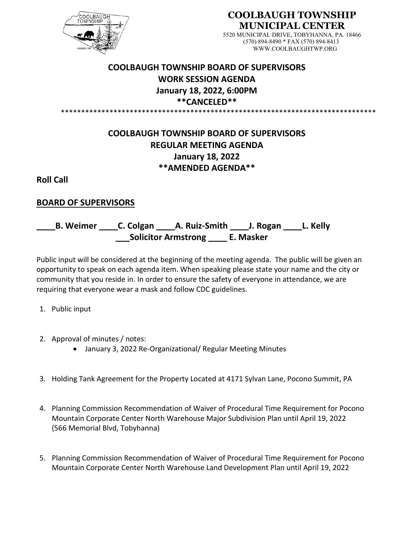

**COOLBAUGH TOWNSHIP MUNICIPAL CENTER**

> 5520 MUNICIPAL DRIVE, TOBYHANNA, PA. 18466 (570) 894-8490 \* FAX (570) 894-8413 WWW.COOLBAUGHTWP.ORG

## **COOLBAUGH TOWNSHIP BOARD OF SUPERVISORS WORK SESSION AGENDA January 18, 2022, 6:00PM \*\*CANCELED\*\*** \*\*\*\*\*\*\*\*\*\*\*\*\*\*\*\*\*\*\*\*\*\*\*\*\*\*\*\*\*\*\*\*\*\*\*\*\*\*\*\*\*\*\*\*\*\*\*\*\*\*\*\*\*\*\*\*\*\*\*\*\*\*\*\*\*\*\*\*\*\*\*\*\*\*\*\*\*\*

## **COOLBAUGH TOWNSHIP BOARD OF SUPERVISORS REGULAR MEETING AGENDA January 18, 2022 \*\*AMENDED AGENDA\*\***

**Roll Call**

## **BOARD OF SUPERVISORS**

**\_\_\_\_B. Weimer \_\_\_\_C. Colgan \_\_\_\_A. Ruiz-Smith \_\_\_\_J. Rogan \_\_\_\_L. Kelly \_\_\_Solicitor Armstrong \_\_\_\_ E. Masker**

Public input will be considered at the beginning of the meeting agenda. The public will be given an opportunity to speak on each agenda item. When speaking please state your name and the city or community that you reside in. In order to ensure the safety of everyone in attendance, we are requiring that everyone wear a mask and follow CDC guidelines.

- 1. Public input
- 2. Approval of minutes / notes:
	- January 3, 2022 Re-Organizational/ Regular Meeting Minutes
- 3. Holding Tank Agreement for the Property Located at 4171 Sylvan Lane, Pocono Summit, PA
- 4. Planning Commission Recommendation of Waiver of Procedural Time Requirement for Pocono Mountain Corporate Center North Warehouse Major Subdivision Plan until April 19, 2022 (566 Memorial Blvd, Tobyhanna)
- 5. Planning Commission Recommendation of Waiver of Procedural Time Requirement for Pocono Mountain Corporate Center North Warehouse Land Development Plan until April 19, 2022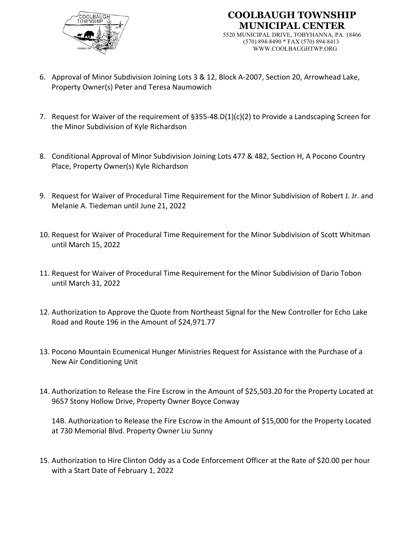



- 6. Approval of Minor Subdivision Joining Lots 3 & 12, Block A-2007, Section 20, Arrowhead Lake, Property Owner(s) Peter and Teresa Naumowich
- 7. Request for Waiver of the requirement of §355-48.D(1)(c)(2) to Provide a Landscaping Screen for the Minor Subdivision of Kyle Richardson
- 8. Conditional Approval of Minor Subdivision Joining Lots 477 & 482, Section H, A Pocono Country Place, Property Owner(s) Kyle Richardson
- 9. Request for Waiver of Procedural Time Requirement for the Minor Subdivision of Robert J. Jr. and Melanie A. Tiedeman until June 21, 2022
- 10. Request for Waiver of Procedural Time Requirement for the Minor Subdivision of Scott Whitman until March 15, 2022
- 11. Request for Waiver of Procedural Time Requirement for the Minor Subdivision of Dario Tobon until March 31, 2022
- 12. Authorization to Approve the Quote from Northeast Signal for the New Controller for Echo Lake Road and Route 196 in the Amount of \$24,971.77
- 13. Pocono Mountain Ecumenical Hunger Ministries Request for Assistance with the Purchase of a New Air Conditioning Unit
- 14. Authorization to Release the Fire Escrow in the Amount of \$25,503.20 for the Property Located at 9657 Stony Hollow Drive, Property Owner Boyce Conway

14B. Authorization to Release the Fire Escrow in the Amount of \$15,000 for the Property Located at 730 Memorial Blvd. Property Owner Liu Sunny

15. Authorization to Hire Clinton Oddy as a Code Enforcement Officer at the Rate of \$20.00 per hour with a Start Date of February 1, 2022